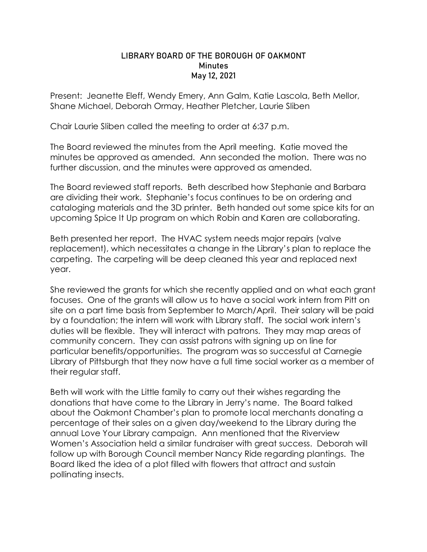## LIBRARY BOARD OF THE BOROUGH OF OAKMONT **Minutes** May 12, 2021

Present: Jeanette Eleff, Wendy Emery, Ann Galm, Katie Lascola, Beth Mellor, Shane Michael, Deborah Ormay, Heather Pletcher, Laurie Sliben

Chair Laurie Sliben called the meeting to order at 6:37 p.m.

The Board reviewed the minutes from the April meeting. Katie moved the minutes be approved as amended. Ann seconded the motion. There was no further discussion, and the minutes were approved as amended.

The Board reviewed staff reports. Beth described how Stephanie and Barbara are dividing their work. Stephanie's focus continues to be on ordering and cataloging materials and the 3D printer. Beth handed out some spice kits for an upcoming Spice It Up program on which Robin and Karen are collaborating.

Beth presented her report. The HVAC system needs major repairs (valve replacement), which necessitates a change in the Library's plan to replace the carpeting. The carpeting will be deep cleaned this year and replaced next year.

She reviewed the grants for which she recently applied and on what each grant focuses. One of the grants will allow us to have a social work intern from Pitt on site on a part time basis from September to March/April. Their salary will be paid by a foundation; the intern will work with Library staff. The social work intern's duties will be flexible. They will interact with patrons. They may map areas of community concern. They can assist patrons with signing up on line for particular benefits/opportunities. The program was so successful at Carnegie Library of Pittsburgh that they now have a full time social worker as a member of their regular staff.

Beth will work with the Little family to carry out their wishes regarding the donations that have come to the Library in Jerry's name. The Board talked about the Oakmont Chamber's plan to promote local merchants donating a percentage of their sales on a given day/weekend to the Library during the annual Love Your Library campaign. Ann mentioned that the Riverview Women's Association held a similar fundraiser with great success. Deborah will follow up with Borough Council member Nancy Ride regarding plantings. The Board liked the idea of a plot filled with flowers that attract and sustain pollinating insects.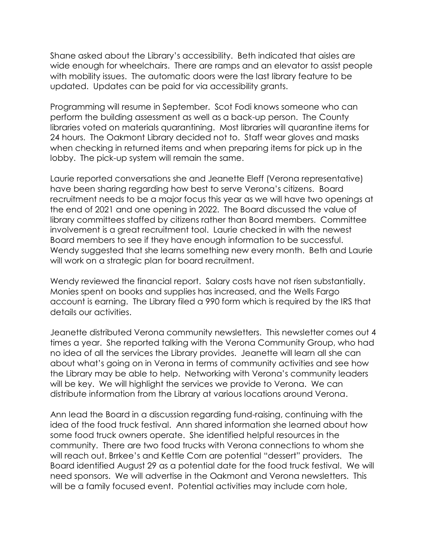Shane asked about the Library's accessibility. Beth indicated that aisles are wide enough for wheelchairs. There are ramps and an elevator to assist people with mobility issues. The automatic doors were the last library feature to be updated. Updates can be paid for via accessibility grants.

Programming will resume in September. Scot Fodi knows someone who can perform the building assessment as well as a back-up person. The County libraries voted on materials quarantining. Most libraries will quarantine items for 24 hours. The Oakmont Library decided not to. Staff wear gloves and masks when checking in returned items and when preparing items for pick up in the lobby. The pick-up system will remain the same.

Laurie reported conversations she and Jeanette Eleff (Verona representative) have been sharing regarding how best to serve Verona's citizens. Board recruitment needs to be a major focus this year as we will have two openings at the end of 2021 and one opening in 2022. The Board discussed the value of library committees staffed by citizens rather than Board members. Committee involvement is a great recruitment tool. Laurie checked in with the newest Board members to see if they have enough information to be successful. Wendy suggested that she learns something new every month. Beth and Laurie will work on a strategic plan for board recruitment.

Wendy reviewed the financial report. Salary costs have not risen substantially. Monies spent on books and supplies has increased, and the Wells Fargo account is earning. The Library filed a 990 form which is required by the IRS that details our activities.

Jeanette distributed Verona community newsletters. This newsletter comes out 4 times a year. She reported talking with the Verona Community Group, who had no idea of all the services the Library provides. Jeanette will learn all she can about what's going on in Verona in terms of community activities and see how the Library may be able to help. Networking with Verona's community leaders will be key. We will highlight the services we provide to Verona. We can distribute information from the Library at various locations around Verona.

Ann lead the Board in a discussion regarding fund-raising, continuing with the idea of the food truck festival. Ann shared information she learned about how some food truck owners operate. She identified helpful resources in the community. There are two food trucks with Verona connections to whom she will reach out. Brrkee's and Kettle Corn are potential "dessert" providers. The Board identified August 29 as a potential date for the food truck festival. We will need sponsors. We will advertise in the Oakmont and Verona newsletters. This will be a family focused event. Potential activities may include corn hole,